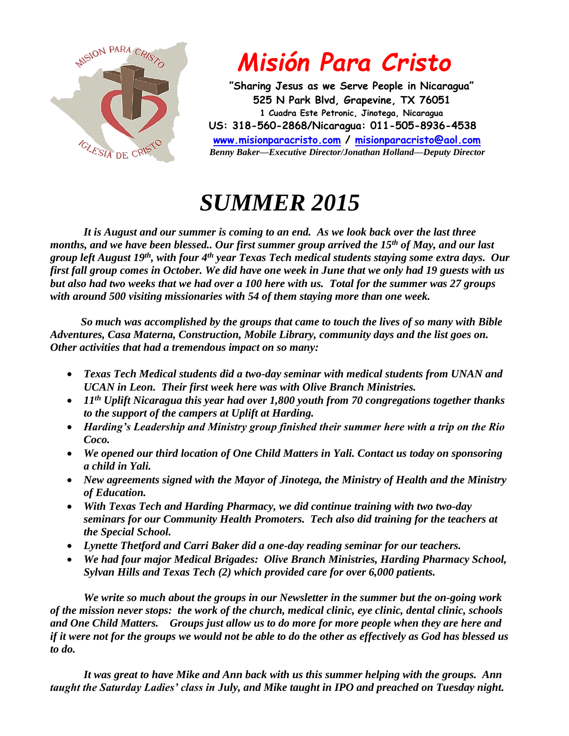

## *Misión Para Cristo*

 **"Sharing Jesus as we Serve People in Nicaragua" 525 N Park Blvd, Grapevine, TX 76051 1 Cuadra Este Petronic, Jinotega, Nicaragua US: 318-560-2868/Nicaragua: 011-505-8936-4538 [www.misionparacristo.com](http://www.misionparacristo.com/) / [misionparacristo@aol.com](mailto:misionparacristo@aol.com)**  *Benny Baker—Executive Director/Jonathan Holland—Deputy Director*

## *SUMMER 2015*

*It is August and our summer is coming to an end. As we look back over the last three months, and we have been blessed.. Our first summer group arrived the 15th of May, and our last group left August 19th, with four 4th year Texas Tech medical students staying some extra days. Our first fall group comes in October. We did have one week in June that we only had 19 guests with us but also had two weeks that we had over a 100 here with us. Total for the summer was 27 groups with around 500 visiting missionaries with 54 of them staying more than one week.*

 *So much was accomplished by the groups that came to touch the lives of so many with Bible Adventures, Casa Materna, Construction, Mobile Library, community days and the list goes on. Other activities that had a tremendous impact on so many:*

- *Texas Tech Medical students did a two-day seminar with medical students from UNAN and UCAN in Leon. Their first week here was with Olive Branch Ministries.*
- *11th Uplift Nicaragua this year had over 1,800 youth from 70 congregations together thanks to the support of the campers at Uplift at Harding.*
- *Harding's Leadership and Ministry group finished their summer here with a trip on the Rio Coco.*
- *We opened our third location of One Child Matters in Yali. Contact us today on sponsoring a child in Yali.*
- *New agreements signed with the Mayor of Jinotega, the Ministry of Health and the Ministry of Education.*
- *With Texas Tech and Harding Pharmacy, we did continue training with two two-day seminars for our Community Health Promoters. Tech also did training for the teachers at the Special School.*
- *Lynette Thetford and Carri Baker did a one-day reading seminar for our teachers.*
- *We had four major Medical Brigades: Olive Branch Ministries, Harding Pharmacy School, Sylvan Hills and Texas Tech (2) which provided care for over 6,000 patients.*

*We write so much about the groups in our Newsletter in the summer but the on-going work of the mission never stops: the work of the church, medical clinic, eye clinic, dental clinic, schools and One Child Matters. Groups just allow us to do more for more people when they are here and if it were not for the groups we would not be able to do the other as effectively as God has blessed us to do.*

*It was great to have Mike and Ann back with us this summer helping with the groups. Ann taught the Saturday Ladies' class in July, and Mike taught in IPO and preached on Tuesday night.*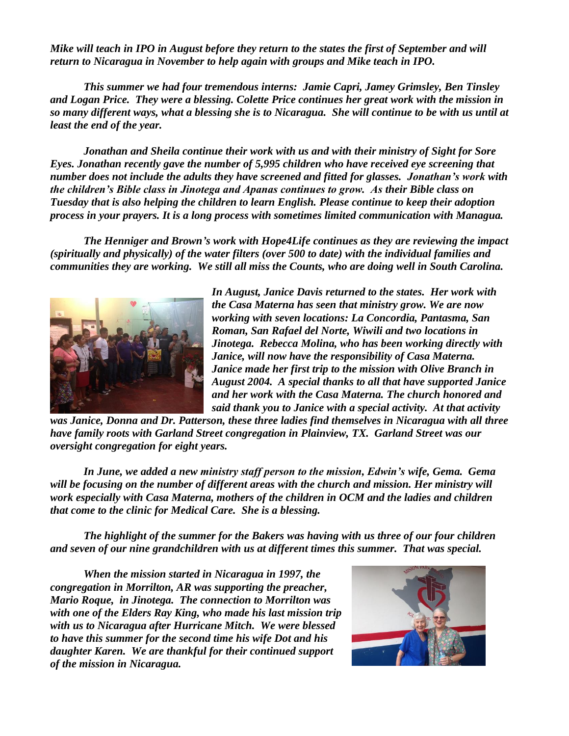*Mike will teach in IPO in August before they return to the states the first of September and will return to Nicaragua in November to help again with groups and Mike teach in IPO.*

*This summer we had four tremendous interns: Jamie Capri, Jamey Grimsley, Ben Tinsley and Logan Price. They were a blessing. Colette Price continues her great work with the mission in so many different ways, what a blessing she is to Nicaragua. She will continue to be with us until at least the end of the year.*

*Jonathan and Sheila continue their work with us and with their ministry of Sight for Sore Eyes. Jonathan recently gave the number of 5,995 children who have received eye screening that number does not include the adults they have screened and fitted for glasses. Jonathan's work with the children's Bible class in Jinotega and Apanas continues to grow. As their Bible class on Tuesday that is also helping the children to learn English. Please continue to keep their adoption process in your prayers. It is a long process with sometimes limited communication with Managua.* 

*The Henniger and Brown's work with Hope4Life continues as they are reviewing the impact (spiritually and physically) of the water filters (over 500 to date) with the individual families and communities they are working. We still all miss the Counts, who are doing well in South Carolina.*



*In August, Janice Davis returned to the states. Her work with the Casa Materna has seen that ministry grow. We are now working with seven locations: La Concordia, Pantasma, San Roman, San Rafael del Norte, Wiwili and two locations in Jinotega. Rebecca Molina, who has been working directly with Janice, will now have the responsibility of Casa Materna. Janice made her first trip to the mission with Olive Branch in August 2004. A special thanks to all that have supported Janice and her work with the Casa Materna. The church honored and said thank you to Janice with a special activity. At that activity* 

*was Janice, Donna and Dr. Patterson, these three ladies find themselves in Nicaragua with all three have family roots with Garland Street congregation in Plainview, TX. Garland Street was our oversight congregation for eight years.*

*In June, we added a new ministry staff person to the mission, Edwin's wife, Gema. Gema will be focusing on the number of different areas with the church and mission. Her ministry will work especially with Casa Materna, mothers of the children in OCM and the ladies and children that come to the clinic for Medical Care. She is a blessing.*

*The highlight of the summer for the Bakers was having with us three of our four children and seven of our nine grandchildren with us at different times this summer. That was special.*

*When the mission started in Nicaragua in 1997, the congregation in Morrilton, AR was supporting the preacher, Mario Roque, in Jinotega. The connection to Morrilton was with one of the Elders Ray King, who made his last mission trip with us to Nicaragua after Hurricane Mitch. We were blessed to have this summer for the second time his wife Dot and his daughter Karen. We are thankful for their continued support of the mission in Nicaragua.*

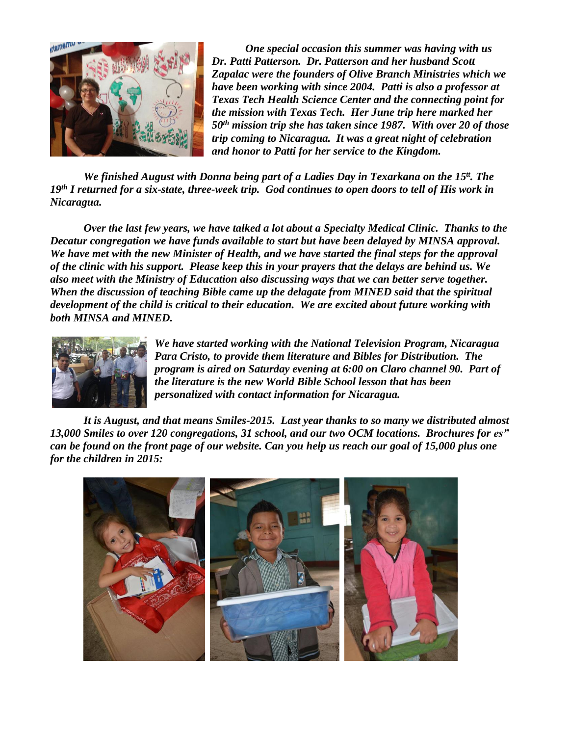

*One special occasion this summer was having with us Dr. Patti Patterson. Dr. Patterson and her husband Scott Zapalac were the founders of Olive Branch Ministries which we have been working with since 2004. Patti is also a professor at Texas Tech Health Science Center and the connecting point for the mission with Texas Tech. Her June trip here marked her 50th mission trip she has taken since 1987. With over 20 of those trip coming to Nicaragua. It was a great night of celebration and honor to Patti for her service to the Kingdom.*

We finished August with Donna being part of a Ladies Day in Texarkana on the 15<sup>tt</sup>. The *19th I returned for a six-state, three-week trip. God continues to open doors to tell of His work in Nicaragua.* 

*Over the last few years, we have talked a lot about a Specialty Medical Clinic. Thanks to the Decatur congregation we have funds available to start but have been delayed by MINSA approval. We have met with the new Minister of Health, and we have started the final steps for the approval of the clinic with his support. Please keep this in your prayers that the delays are behind us. We also meet with the Ministry of Education also discussing ways that we can better serve together. When the discussion of teaching Bible came up the delagate from MINED said that the spiritual development of the child is critical to their education. We are excited about future working with both MINSA and MINED.*



*We have started working with the National Television Program, Nicaragua Para Cristo, to provide them literature and Bibles for Distribution. The program is aired on Saturday evening at 6:00 on Claro channel 90. Part of the literature is the new World Bible School lesson that has been personalized with contact information for Nicaragua.*

*It is August, and that means Smiles-2015. Last year thanks to so many we distributed almost 13,000 Smiles to over 120 congregations, 31 school, and our two OCM locations. Brochures for es" can be found on the front page of our website. Can you help us reach our goal of 15,000 plus one for the children in 2015:*